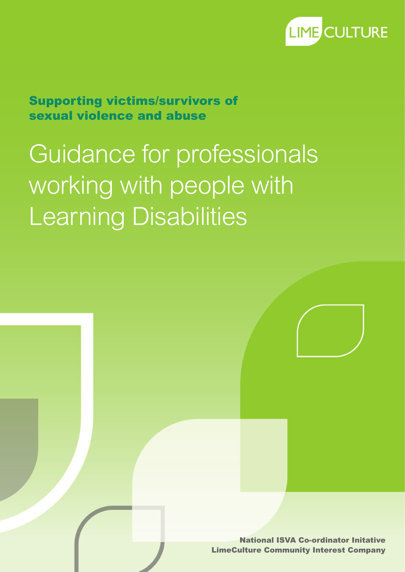

Supporting victims/survivors of sexual violence and abuse

# Guidance for professionals working with people with Learning Disabilities

National ISVA Co-ordinator Initative LimeCulture Community Interest Company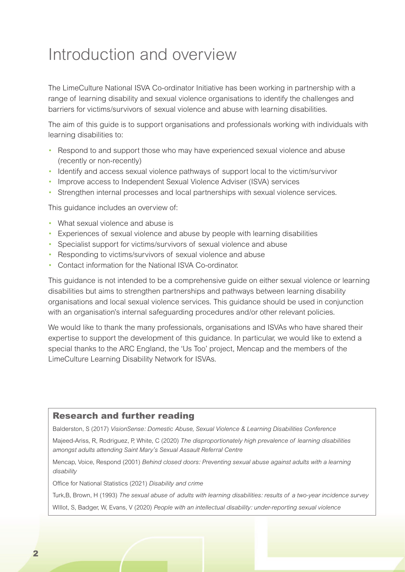### Introduction and overview

The LimeCulture National ISVA Co-ordinator Initiative has been working in partnership with a range of learning disability and sexual violence organisations to identify the challenges and barriers for victims/survivors of sexual violence and abuse with learning disabilities.

The aim of this guide is to support organisations and professionals working with individuals with learning disabilities to:

- Respond to and support those who may have experienced sexual violence and abuse (recently or non-recently)
- Identify and access sexual violence pathways of support local to the victim/survivor
- Improve access to Independent Sexual Violence Adviser (ISVA) services
- Strengthen internal processes and local partnerships with sexual violence services.

This guidance includes an overview of:

- What sexual violence and abuse is
- Experiences of sexual violence and abuse by people with learning disabilities
- Specialist support for victims/survivors of sexual violence and abuse
- Responding to victims/survivors of sexual violence and abuse
- Contact information for the National ISVA Co-ordinator.

This guidance is not intended to be a comprehensive guide on either sexual violence or learning disabilities but aims to strengthen partnerships and pathways between learning disability organisations and local sexual violence services. This guidance should be used in conjunction with an organisation's internal safeguarding procedures and/or other relevant policies.

We would like to thank the many professionals, organisations and ISVAs who have shared their expertise to support the development of this guidance. In particular, we would like to extend a special thanks to the ARC England, the 'Us Too' project, Mencap and the members of the LimeCulture Learning Disability Network for ISVAs.

#### Research and further reading

Balderston, S (2017) *VisionSense: Domestic Abuse, Sexual Violence & Learning Disabilities Conference* 

Majeed-Ariss, R, Rodriguez, P, White, C (2020) *The disproportionately high prevalence of learning disabilities amongst adults attending Saint Mary's Sexual Assault Referral Centre*

Mencap, Voice, Respond (2001) *Behind closed doors: Preventing sexual abuse against adults with a learning disability*

Office for National Statistics (2021) *Disability and crime* 

Turk,B, Brown, H (1993) *The sexual abuse of adults with learning disabilities: results of a two-year incidence survey*

WIllot, S, Badger, W, Evans, V (2020) *People with an intellectual disability: under-reporting sexual violence*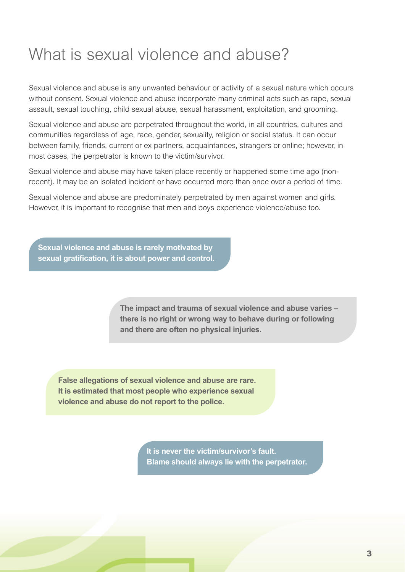## What is sexual violence and abuse?

Sexual violence and abuse is any unwanted behaviour or activity of a sexual nature which occurs without consent. Sexual violence and abuse incorporate many criminal acts such as rape, sexual assault, sexual touching, child sexual abuse, sexual harassment, exploitation, and grooming.

Sexual violence and abuse are perpetrated throughout the world, in all countries, cultures and communities regardless of age, race, gender, sexuality, religion or social status. It can occur between family, friends, current or ex partners, acquaintances, strangers or online; however, in most cases, the perpetrator is known to the victim/survivor.

Sexual violence and abuse may have taken place recently or happened some time ago (nonrecent). It may be an isolated incident or have occurred more than once over a period of time.

Sexual violence and abuse are predominately perpetrated by men against women and girls. However, it is important to recognise that men and boys experience violence/abuse too.

**Sexual violence and abuse is rarely motivated by sexual gratification, it is about power and control.**

> **The impact and trauma of sexual violence and abuse varies – there is no right or wrong way to behave during or following and there are often no physical injuries.**

**False allegations of sexual violence and abuse are rare. It is estimated that most people who experience sexual violence and abuse do not report to the police.**

> **It is never the victim/survivor's fault. Blame should always lie with the perpetrator.**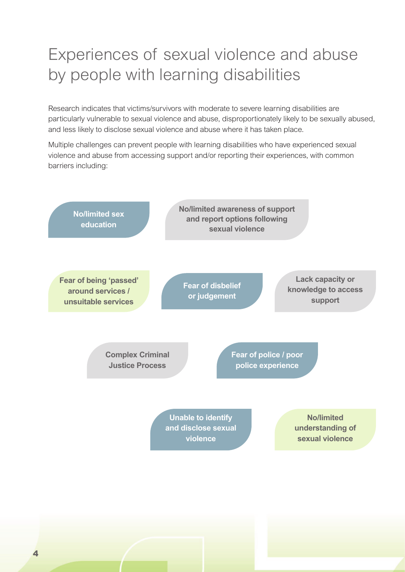# Experiences of sexual violence and abuse by people with learning disabilities

Research indicates that victims/survivors with moderate to severe learning disabilities are particularly vulnerable to sexual violence and abuse, disproportionately likely to be sexually abused, and less likely to disclose sexual violence and abuse where it has taken place.

Multiple challenges can prevent people with learning disabilities who have experienced sexual violence and abuse from accessing support and/or reporting their experiences, with common barriers including:

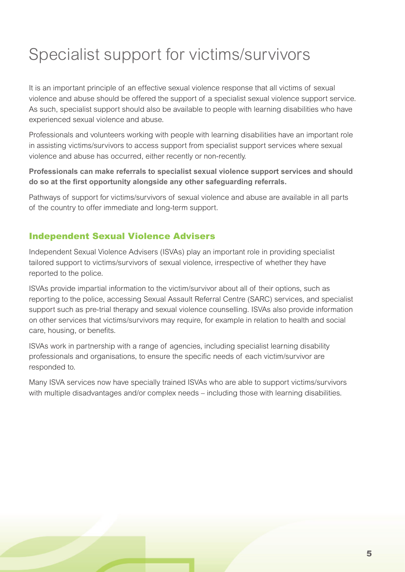# Specialist support for victims/survivors

It is an important principle of an effective sexual violence response that all victims of sexual violence and abuse should be offered the support of a specialist sexual violence support service. As such, specialist support should also be available to people with learning disabilities who have experienced sexual violence and abuse.

Professionals and volunteers working with people with learning disabilities have an important role in assisting victims/survivors to access support from specialist support services where sexual violence and abuse has occurred, either recently or non-recently.

**Professionals can make referrals to specialist sexual violence support services and should do so at the first opportunity alongside any other safeguarding referrals.** 

Pathways of support for victims/survivors of sexual violence and abuse are available in all parts of the country to offer immediate and long-term support.

### Independent Sexual Violence Advisers

Independent Sexual Violence Advisers (ISVAs) play an important role in providing specialist tailored support to victims/survivors of sexual violence, irrespective of whether they have reported to the police.

ISVAs provide impartial information to the victim/survivor about all of their options, such as reporting to the police, accessing Sexual Assault Referral Centre (SARC) services, and specialist support such as pre-trial therapy and sexual violence counselling. ISVAs also provide information on other services that victims/survivors may require, for example in relation to health and social care, housing, or benefits.

ISVAs work in partnership with a range of agencies, including specialist learning disability professionals and organisations, to ensure the specific needs of each victim/survivor are responded to.

Many ISVA services now have specially trained ISVAs who are able to support victims/survivors with multiple disadvantages and/or complex needs – including those with learning disabilities.